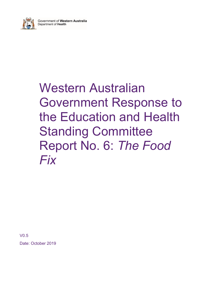

# Western Australian Government Response to the Education and Health Standing Committee Report No. 6: The Food Fix

V0.5 Date: October 2019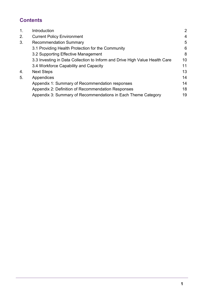# **Contents**

| $\mathbf 1$ . | Introduction                                                                | 2              |
|---------------|-----------------------------------------------------------------------------|----------------|
| 2.            | <b>Current Policy Environment</b>                                           | $\overline{4}$ |
| 3.            | <b>Recommendation Summary</b>                                               | 5              |
|               | 3.1 Providing Health Protection for the Community                           | 6              |
|               | 3.2 Supporting Effective Management                                         | 8              |
|               | 3.3 Investing in Data Collection to Inform and Drive High Value Health Care | 10             |
|               | 3.4 Workforce Capability and Capacity                                       | 11             |
| 4.            | <b>Next Steps</b>                                                           | 13             |
| 5.            | Appendices                                                                  | 14             |
|               | Appendix 1: Summary of Recommendation responses                             | 14             |
|               | Appendix 2: Definition of Recommendation Responses                          | 18             |
|               | Appendix 3: Summary of Recommendations in Each Theme Category               | 19             |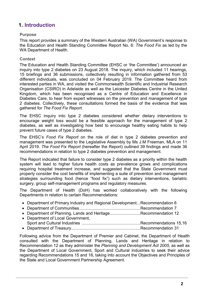# 1. Introduction

## Purpose

This report provides a summary of the Western Australian (WA) Government's response to the Education and Health Standing Committee Report No. 6: The Food Fix as led by the WA Department of Health.

## **Context**

The Education and Health Standing Committee (EHSC or 'the Committee') announced an inquiry into type 2 diabetes on 23 August 2018. The inquiry, which included 11 hearings, 15 briefings and 36 submissions, collectively resulting in information gathered from 53 different individuals, was concluded on 04 February 2019. The Committee heard from interested parties in WA, and visited the Commonwealth Scientific and Industrial Research Organisation (CSIRO) in Adelaide as well as the Leicester Diabetes Centre in the United Kingdom, which has been recognised as a Centre of Education and Excellence in Diabetes Care, to hear from expert witnesses on the prevention and management of type 2 diabetes. Collectively, these consultations formed the basis of the evidence that was gathered for The Food Fix Report.

The EHSC inquiry into type 2 diabetes considered whether dietary interventions to encourage weight loss would be a feasible approach for the management of type 2 diabetes, as well as investigating how best to encourage healthy eating habits to help prevent future cases of type 2 diabetes.

The EHSC's Food Fix Report on the role of diet in type 2 diabetes prevention and management was presented to the Legislative Assembly by Ms J.M Freeman, MLA on 11 April 2019. The Food Fix Report (hereafter the Report) outlined 39 findings and made 36 recommendations in relation to type 2 diabetes prevention and management.

The Report indicated that failure to consider type 2 diabetes as a priority within the health system will lead to higher future health costs as prevalence grows and complications requiring hospital treatment increase, and suggested that the State Government must properly consider the cost benefits of implementing a suite of prevention and management strategies surrounding food (hence "food fix") such as dietary interventions, bariatric surgery, group self-management programs and regulatory measures.

The Department of Health (DoH) has worked collaboratively with the following Departments in relation to certain Recommendations:

- Department of Primary Industry and Regional Development... Recommendation 6
- Department of Communities .................................................... Recommendation 7
- Department of Planning, Lands and Heritage...........................Recommendation 12
- Department of Local Government, Sport and Cultural Industries .................................................. Recommendations 15,16
- Department of Treasury ........................................................... Recommendation 31

Following advice from the Department of Premier and Cabinet, the Department of Health consulted with the Department of Planning, Lands and Heritage in relation to Recommendation 12 as they administer the Planning and Development Act 2005, as well as the Department of Local Government, Sport and Cultural Industries to seek their advice regarding Recommendations 15 and 16, taking into account the Objectives and Principles of the State and Local Government Partnership Agreement.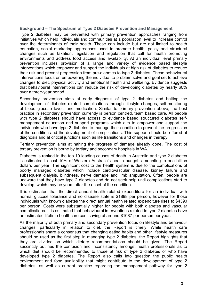## Background – The Spectrum of Type 2 Diabetes Prevention and Management

Type 2 diabetes may be prevented with primary prevention approaches ranging from initiatives which help individuals and communities at a population level to increase control over the determinants of their health. These can include but are not limited to health education, social marketing approaches used to promote health, policy and structural changes such as taxation, legislation and regulation that call for health promoting environments and address food access and availability. At an individual level primary prevention includes provision of a range and variety of evidence based lifestyle interventions which empower and support the individuals at high risk of diabetes to reduce their risk and prevent progression from pre-diabetes to type 2 diabetes. These behavioural interventions focus on empowering the individual to problem solve and goal set to achieve changes to diet, physical activity and emotional health and wellbeing. Evidence suggests that behavioural interventions can reduce the risk of developing diabetes by nearly 60% over a three-year period.

Secondary prevention aims at early diagnosis of type 2 diabetes and halting the development of diabetes related complications through lifestyle changes, self-monitoring of blood glucose levels and medication. Similar to primary prevention above, the best practice in secondary prevention currently is person centred, team based care. All people with type 2 diabetes should have access to evidence based structured diabetes selfmanagement education and support programs which aim to empower and support the individuals who have type 2 diabetes to manage their condition to prevent the progression of the condition and the development of complications. This support should be offered at diagnosis and at critical junctions such as life transitions and changes in therapy.

Tertiary prevention aims at halting the progress of damage already done. The cost of tertiary prevention is borne by tertiary and secondary hospitals in WA.

Diabetes is ranked in the top 10 leading causes of death in Australia and type 2 diabetes is estimated to cost 10% of Western Australia's health budget: amounting to one billion dollars per year. The significant cost to the health system is due to the complications of poorly managed diabetes which include cardiovascular disease, kidney failure and subsequent dialysis, blindness, nerve damage and limb amputation. Often, people are unaware that they have type 2 diabetes and do not seek help until complications start to develop, which may be years after the onset of the condition.

It is estimated that the direct annual health related expenditure for an individual with normal glucose tolerance and no disease state is \$1898 per person, however for those individuals with known diabetes the direct annual health related expenditure rises to \$4390 per person. Costs were substantially higher for people with both diabetes and vascular complications. It is estimated that behavioural interventions related to type 2 diabetes have an estimated lifetime healthcare cost saving of around \$1087 per person per year.

As the majority of both primary and secondary prevention focus on lifestyle and behaviour changes, particularly in relation to diet, the Report is timely. While health care professionals share a consensus that changing eating habits and other lifestyle measures should be used as the first step in managing type 2 diabetes, the Report highlights that they are divided on which dietary recommendations should be given. The Report succinctly outlines the confusion and inconsistency amongst health professionals as to which diet should be recommended to those at risk of type 2 diabetes or who have developed type 2 diabetes. The Report also calls into question the public health environment and food availability that might contribute to the development of type 2 diabetes, as well as current practice regarding the management pathway for type 2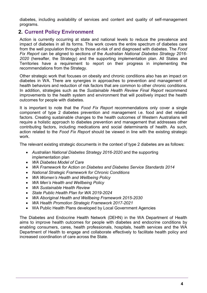diabetes, including availability of services and content and quality of self-management programs.

## 2. Current Policy Environment

Action is currently occurring at state and national levels to reduce the prevalence and impact of diabetes in all its forms. This work covers the entire spectrum of diabetes care from the well population through to those at-risk of and diagnosed with diabetes. The Food Fix Report can be aligned to sections of the Australian National Diabetes Strategy 2016- 2020 (hereafter, the Strategy) and the supporting implementation plan. All States and Territories have a requirement to report on their progress in implementing the recommendations from the Strategy.

Other strategic work that focuses on obesity and chronic conditions also has an impact on diabetes in WA. There are synergies in approaches to prevention and management of health behaviors and reduction of risk factors that are common to other chronic conditions. In addition, strategies such as the Sustainable Health Review Final Report recommend improvements to the health system and environment that will positively impact the health outcomes for people with diabetes.

It is important to note that the Food Fix Report recommendations only cover a single component of type 2 diabetes prevention and management i.e. food and diet related factors. Creating sustainable changes to the health outcomes of Western Australians will require a holistic approach to diabetes prevention and management that addresses other contributing factors, including medications and social determinants of health. As such, action related to the Food Fix Report should be viewed in line with the existing strategic work.

The relevant existing strategic documents in the context of type 2 diabetes are as follows:

- Australian National Diabetes Strategy 2016-2020 and the supporting implementation plan
- WA Diabetes Model of Care
- WA Framework for Action on Diabetes and Diabetes Service Standards 2014
- National Strategic Framework for Chronic Conditions
- WA Women's Health and Wellbeing Policy
- WA Men's Health and Wellbeing Policy
- WA Sustainable Health Review
- State Public Health Plan for WA 2019-2024
- WA Aboriginal Health and Wellbeing Framework 2015-2030
- WA Health Promotion Strategic Framework 2017-2021
- WA Public Health Plans developed by Local Government Agencies

The Diabetes and Endocrine Health Network (DEHN) in the WA Department of Health aims to improve health outcomes for people with diabetes and endocrine conditions by enabling consumers, cares, health professionals, hospitals, health services and the WA Department of Health to engage and collaborate effectively to facilitate health policy and increased coordination of care across the State.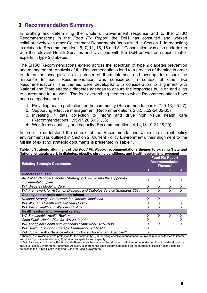## 3. Recommendation Summary

In drafting and determining the whole of Government response and to the EHSC Recommendations in the Food Fix Report, the DoH has consulted and worked collaboratively with other Government Departments (as outlined in Section 1: Introduction) in relation to Recommendations 6, 7, 12, 15, 16 and 31. Consultation was also undertaken with the relevant Health Services and Divisions with the DoH as well as subject matter experts in type 2 diabetes.

The EHSC Recommendations extend across the spectrum of type 2 diabetes prevention and management. Analysis of the Recommendations lead to a process of theming in order to determine synergies, as a number of them intersect and overlap, to ensure the response to each Recommendation was considered in context of other like Recommendations. The themes were developed with consideration to alignment with National and State strategic diabetes agendas to ensure the responses build on and align to current and future work. The four overarching themes to which Recommendations have been categorised are:

- 1. Providing health protection for the community (Recommendations 6, 7, 9-13, 25-27)
- 2. Supporting effective management (Recommendations 2,3,5,8,22-24,32-35)
- 3. Investing in data collection to inform and drive high value health care (Recommendations 1,15-17,20,30,31,36)
- 4. Workforce capability and capacity (Recommendations 4,14,18,19,21,28,29)

In order to understand the context of the Recommendations within the current policy environment (as outlined in Section 2: Current Policy Environment), their alignment to the full list of existing strategic documents is presented in Table 1.

#### Table 1. Strategic alignment of the Food Fix Report recommendations themes to existing State and National strategic work in diabetes, obesity, chronic conditions, and health system improvement

| <b>Existing Strategic Documents</b>                                                       |   | <b>Food Fix Report</b><br><b>Recommendation</b><br>Themes* |   |   |  |
|-------------------------------------------------------------------------------------------|---|------------------------------------------------------------|---|---|--|
|                                                                                           |   | 2                                                          | 3 | 4 |  |
| <b>Diabetes focussed</b>                                                                  |   |                                                            |   |   |  |
| Australian National Diabetes Strategy 2016-2020 and the supporting<br>implementation plan | X | X                                                          | X | X |  |
| <b>WA Diabetes Model of Care</b>                                                          |   |                                                            | X | X |  |
| WA Framework for Action on Diabetes and Diabetes Service Standards 2014                   | X | X                                                          | X | X |  |
| Obesity and chronic condition related                                                     |   |                                                            |   |   |  |
| <b>National Strategic Framework for Chronic Conditions</b>                                | X | X                                                          |   |   |  |
| WA Women's Health and Wellbeing Policy                                                    |   | X                                                          |   | X |  |
| WA Men's Health and Wellbeing Policy                                                      |   | X                                                          |   | X |  |
| Health system improvement related                                                         |   |                                                            |   |   |  |
| <b>WA Sustainable Health Review</b>                                                       | X | X                                                          | X | X |  |
| State Public Health Plan for WA 2019-2024                                                 |   |                                                            |   | X |  |
| WA Aboriginal Health and Wellbeing Framework 2015-2030                                    |   | X                                                          |   | X |  |
| WA Health Promotion Strategic Framework 2017-2021                                         | X |                                                            |   |   |  |
| WA Public Health Plans developed by Local Government Agencies**                           | X |                                                            |   |   |  |

\* Themes: 1) Providing health protection for the community; 2) Supporting effective management, 3) Invest in data collection to inform and drive high value health care, 4) Workforce capability and capacity.

\*\* Definitive analysis for local Public Health Plans cannot be made as the alignment will change depending on the plans developed by individual Local Government Authorities. As such, alignment has been determined based on the purpose of Public Health Plans as detailed in the Public Health Planning Guide for Local Government.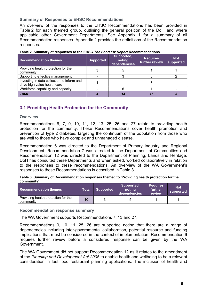## Summary of Responses to EHSC Recommendations

An overview of the responses to the EHSC Recommendations has been provided in Table 2 for each themed group, outlining the general position of the DoH and where applicable other Government Departments. See Appendix 1 for a summary of all Recommendation responses. Appendix 2 provides the definitions of the Recommendation responses.

| <b>Recommendation themes</b>                                               | <b>Supported</b> | Supported,<br>noting<br>dependencies | <b>Requires</b><br>further review | <b>Not</b><br>supported |
|----------------------------------------------------------------------------|------------------|--------------------------------------|-----------------------------------|-------------------------|
| Providing health protection for the<br>community                           |                  |                                      |                                   |                         |
| Supporting effective management                                            |                  |                                      |                                   |                         |
| Investing in data collection to inform and<br>drive high value health care |                  |                                      |                                   |                         |
| Workforce capability and capacity                                          |                  |                                      |                                   |                         |
| <b>Total</b>                                                               |                  | 14                                   |                                   |                         |

## Table 2. Summary of responses to the EHSC The Food Fix Report Recommendations

## 3.1 Providing Health Protection for the Community

## **Overview**

Recommendations 6, 7, 9, 10, 11, 12, 13, 25, 26 and 27 relate to providing health protection for the community. These Recommendations cover health promotion and prevention of type 2 diabetes, targeting the continuum of the population from those who are well to those who have complex and unmanaged disease.

Recommendation 6 was directed to the Department of Primary Industry and Regional Development, Recommendation 7 was directed to the Department of Communities and Recommendation 12 was directed to the Department of Planning, Lands and Heritage. DoH has consulted these Departments and when asked, worked collaboratively in relation to the responses to these recommendations. An overview of the WA Government's responses to these Recommendations is described in Table 3.

Table 3. Summary of Recommendation responses themed to 'Providing health protection for the community'

| <b>Recommendation themes</b>                     | Total | <b>Supported</b> | Supported,<br>notina<br>dependencies | <b>Requires</b><br>further<br>review | <b>Not</b><br>supported |
|--------------------------------------------------|-------|------------------|--------------------------------------|--------------------------------------|-------------------------|
| Providing health protection for the<br>community | 10    |                  |                                      |                                      |                         |

Recommendation response summary

The WA Government supports Recommendations 7, 13 and 27.

Recommendations 9, 10, 11, 25, 26 are supported noting that there are a range of dependencies including inter-governmental collaboration, potential resource and funding implications that must be considered in the context of implementation. Recommendation 6 requires further review before a considered response can be given by the WA Government.

The WA Government did not support Recommendation 12 as it relates to the amendment of the Planning and Development Act 2005 to enable health and wellbeing to be a relevant consideration in fast food restaurant planning applications. The inclusion of health and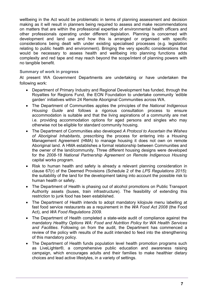wellbeing in the Act would be problematic in terms of planning assessment and decision making as it will result in planners being required to assess and make recommendations on matters that are within the professional expertise of environmental health officers and other professionals operating under different legislation. Planning is concerned with development and land use and how this is arranged or organised with specific considerations being dealt with under existing specialised processes (e.g. legislation relating to public health and environment). Bringing the very specific considerations that would be necessary to assess health and wellbeing into planning functions adds complexity and red tape and may reach beyond the scope/intent of planning powers with no tangible benefit.

## Summary of work in progress

At present WA Government Departments are undertaking or have undertaken the following work:

- Department of Primary Industry and Regional Development has funded, through the Royalties for Regions Fund, the EON Foundation to undertake community 'edible garden' initiatives within 24 Remote Aboriginal Communities across WA.
- The Department of Communities applies the principles of the National Indigenous Housing Guide and follows a rigorous consultation process to ensure accommodation is suitable and that the living aspirations of a community are met i.e. providing accommodation options for aged persons and singles who may otherwise not be eligible for standard community housing.
- The Department of Communities also developed A Protocol to Ascertain the Wishes of Aboriginal Inhabitants, prescribing the process for entering into a Housing Management Agreement (HMA) to manage housing it does not own on remote Aboriginal land. A HMA establishes a formal relationship between Communities and the owner of the land/community. Three different housing designs were developed for the 2008-18 National Partnership Agreement on Remote Indigenous Housing capital works program.
- Risk to human health and safety is already a relevant planning consideration in clause 67(r) of the Deemed Provisions (Schedule 2 of the LPS Regulations 2015): the suitability of the land for the development taking into account the possible risk to human health or safety.
- The Department of Health is phasing out of alcohol promotions on Public Transport Authority assets (buses, train infrastructure). The feasibility of extending this restriction to junk food has been established.
- The Department of Health intends to adopt mandatory kilojoule menu labelling at fast food service restaurants as a requirement in the WA Food Act 2008 (the Food Act), and WA Food Regulations 2009.
- The Department of Health completed a state-wide audit of compliance against the mandatory Healthy Options WA: Food and Nutrition Policy for WA Health Services and Facilities. Following on from the audit, the Department has commenced a review of the policy with results of the audit intended to feed into the strengthening of this mandatory policy.
- The Department of Health funds population level health promotion programs such as LiveLighter®, a comprehensive public education and awareness raising campaign, which encourages adults and their families to make healthier dietary choices and lead active lifestyles, in a variety of settings.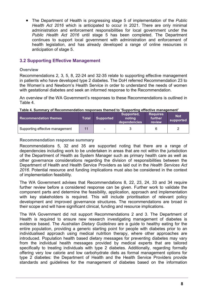The Department of Health is progressing stage 5 of implementation of the Public Health Act 2016 which is anticipated to occur in 2021. There are only minimal administration and enforcement responsibilities for local government under the Public Health Act 2016 until stage 5 has been completed. The Department continues to support local government with administration and enforcement of health legislation, and has already developed a range of online resources in anticipation of stage 5.

## 3.2 Supporting Effective Management

## **Overview**

Recommendations 2, 3, 5, 8, 22-24 and 32-35 relate to supporting effective management in patients who have developed type 2 diabetes. The DoH referred Recommendation 23 to the Women's and Newborn's Health Service in order to understand the needs of women with gestational diabetes and seek an informed response to the Recommendation.

An overview of the WA Government's responses to these Recommendations is outlined in Table 4.

#### Table 4. Summary of Recommendation responses themed to 'Supporting effective management'

| <b>Recommendation themes</b>    | Total | <b>Supported</b> | Supported,<br>notina<br>dependencies | <b>Requires</b><br>further<br>review | <b>Not</b><br>supported |
|---------------------------------|-------|------------------|--------------------------------------|--------------------------------------|-------------------------|
| Supporting effective management | 11    | $\blacksquare$   |                                      |                                      |                         |

#### Recommendation response summary

Recommendations 5, 32 and 35 are supported noting that there are a range of dependencies including work to be undertaken in areas that are not within the jurisdiction of the Department of Health as System Manager such as primary health care as well as other governance considerations regarding the division of responsibilities between the Department of Health and Health Service Providers as laid out in the Health Services Act 2016. Potential resource and funding implications must also be considered in the context of implementation feasibility.

The WA Government advises that Recommendations 8, 22, 23, 24, 33 and 34 require further review before a considered response can be given. Further work to validate the component parts and determine the feasibility, application, approach and implementation with key stakeholders is required. This will include prioritisation of relevant policy development and improved governance structures. The recommendations are broad in their scope and will have significant clinical, funding and resource implications.

The WA Government did not support Recommendations 2 and 3. The Department of Health is required to ensure new research investigating management of diabetes is evidence based. The Australian Dietary Guidelines are a guide to healthy eating for the entire population, providing a generic starting point for people with diabetes prior to an individualised approach using medical nutrition therapy, where other approaches are introduced. Population health based dietary messages for preventing diabetes may vary from the individual health messages provided by medical experts that are tailored specifically to treating individuals with type 2 diabetes. Additionally, regarding formally offering very low calorie and low carbohydrate diets as formal management options for type 2 diabetes: the Department of Health and the Health Service Providers provide standards and guidelines for the management of diabetes based on the information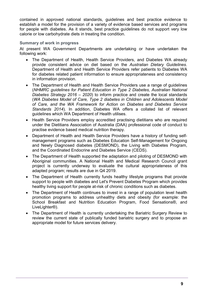contained in approved national standards, guidelines and best practice evidence to establish a model for the provision of a variety of evidence based services and programs for people with diabetes. As it stands, best practice guidelines do not support very low calorie or low carbohydrate diets in treating the condition.

## Summary of work in progress

At present WA Government Departments are undertaking or have undertaken the following work:

- The Department of Health, Health Service Providers, and Diabetes WA already provide consistent advice on diet based on the Australian Dietary Guidelines. Department of Health and Health Service Providers refer patients to Diabetes WA for diabetes related patient information to ensure appropriateness and consistency in information provision.
- The Department of Health and Health Service Providers use a range of guidelines (NHMRC guidelines for Patient Education in Type 2 Diabetes, Australian National Diabetes Strategy 2016 – 2020) to inform practice and create the local standards (WA Diabetes Model of Care, Type 2 diabetes in Children and Adolescents Model of Care, and the WA Framework for Action on Diabetes and Diabetes Service Standards 2014). In addition, Diabetes WA offers a collated list of relevant guidelines which WA Department of Health utilises.
- Health Service Providers employ accredited practising dietitians who are required under the Dietitians Association of Australia (DAA) professional code of conduct to practise evidence based medical nutrition therapy.
- Department of Health and Health Service Providers have a history of funding selfmanagement programs such as Diabetes Education Self-Management for Ongoing and Newly Diagnosed diabetes (DESMOND), the Living with Diabetes Program, and the Coordinated Endocrine and Diabetes Service (CEDS).
- The Department of Health supported the adaptation and piloting of DESMOND with Aboriginal communities. A National Health and Medical Research Council grant project is currently underway to evaluate the cultural appropriateness of this adapted program; results are due in Q4 2019.
- The Department of Health currently funds healthy lifestyle programs that provide support to people with diabetes and Let's Prevent Diabetes Program which provides healthy living support for people at-risk of chronic conditions such as diabetes.
- The Department of Health continues to invest in a range of population level health promotion programs to address unhealthy diets and obesity (for example: the School Breakfast and Nutrition Education Program, Food Sensations®, and LiveLighter®).
- The Department of Health is currently undertaking the Bariatric Surgery Review to review the current state of publically funded bariatric surgery and to propose an appropriate model for future services delivery.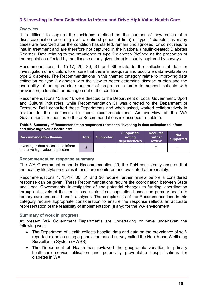## 3.3 Investing in Data Collection to Inform and Drive High Value Health Care

## **Overview**

It is difficult to capture the incidence (defined as the number of new cases of a disease/condition occurring over a defined period of time) of type 2 diabetes as many cases are recorded after the condition has started, remain undiagnosed, or do not require insulin treatment and are therefore not captured in the National (insulin-treated) Diabetes Register. Data relating to the prevalence of type 2 diabetes (defined as the proportion of the population affected by the disease at any given time) is usually captured by surveys.

Recommendations 1, 15-17, 20, 30, 31 and 36 relate to the collection of data or investigation of indicators to ensure that there is adequate and accurate data available on type 2 diabetes. The Recommendations in this themed category relate to improving data collection on type 2 diabetes with the view to better determine disease burden and the availability of an appropriate number of programs in order to support patients with prevention, education or management of the condition.

Recommendations 15 and 16 were directed to the Department of Local Government, Sport and Cultural Industries, while Recommendation 31 was directed to the Department of Treasury. DoH consulted these Departments and when asked, worked collaboratively in relation to the responses to these recommendations. An overview of the WA Government's responses to these Recommendations is described in Table 5.

#### Table 5. Summary of Recommendation responses themed to 'Investing in data collection to inform and drive high value health care'

| <b>Recommendation themes</b>                                               | Total | Supported | Supported,<br>notina<br>dependencies | <b>Requires</b><br><b>further</b><br>review | <b>Not</b><br>supported |
|----------------------------------------------------------------------------|-------|-----------|--------------------------------------|---------------------------------------------|-------------------------|
| Investing in data collection to inform<br>and drive high value health care |       |           |                                      |                                             |                         |

## Recommendation response summary

The WA Government supports Recommendation 20, the DoH consistently ensures that the healthy lifestyle programs it funds are monitored and evaluated appropriately.

Recommendations 1, 15-17, 30, 31 and 36 require further review before a considered response can be given. These Recommendations require the coordination between State and Local Governments, investigation of and potential changes to funding, coordination through all levels of the health care sector from population based and primary health to tertiary care and cost benefit analyses. The complexities of the Recommendations in this category require appropriate consideration to ensure the response reflects an accurate representation of the feasibility of implementation (if any) for the WA environment.

## Summary of work in progress

At present WA Government Departments are undertaking or have undertaken the following work:

- The Department of Health collects hospital data and data on the prevalence of selfreported diabetes using a population based survey called the Health and Wellbeing Surveillance System (HWSS).
- The Department of Health has reviewed the geographic variation in primary healthcare service utilisation and potentially preventable hospitalisations for diabetes in WA.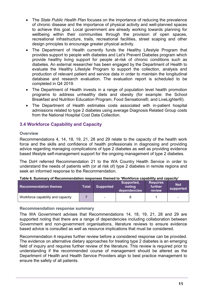- The State Public Health Plan focuses on the importance of reducing the prevalence of chronic disease and the importance of physical activity and well-planned spaces to achieve this goal. Local government are already working towards planning for wellbeing within their communities through the provision of open spaces, recreational infrastructure, trails, recreational facilities, street scaping and other design principles to encourage greater physical activity.
- The Department of Health currently funds the Healthy Lifestyle Program that provides support to people with diabetes and Let's Prevent Diabetes program which provide healthy living support for people at-risk of chronic conditions such as diabetes. An external researcher has been engaged by the Department of Health to evaluate the Healthy Lifestyle Program to support the collection, analysis and production of relevant patient and service data in order to maintain the longitudinal database and research evaluation. The evaluation report is scheduled to be completed in Q4 2019.
- The Department of Health invests in a range of population level health promotion programs to address unhealthy diets and obesity (for example: the School Breakfast and Nutrition Education Program, Food Sensations®, and LiveLighter®).
- The Department of Health estimates costs associated with in-patient hospital admissions related to type 2 diabetes using average Diagnosis Related Group costs from the National Hospital Cost Data Collection.

## 3.4 Workforce Capability and Capacity

## **Overview**

Recommendations 4, 14, 18, 19, 21, 28 and 29 relate to the capacity of the health work force and the skills and confidence of health professionals in diagnosing and providing advice regarding managing complications of type 2 diabetes as well as providing evidence based lifestyle self-management support for the ongoing management of type 2 diabetes.

The DoH referred Recommendation 21 to the WA Country Health Service in order to understand the needs of patients with (or at risk of) type 2 diabetes in remote regions and seek an informed response to the Recommendation.

#### Table 6. Summary of Recommendation responses themed to 'Workforce capability and capacity'

| <b>Recommendation themes</b>      | Total | <b>Supported</b>         | Supported,<br>notina<br>dependencies | <b>Requires</b><br>further<br>review | <b>Not</b><br>supported |
|-----------------------------------|-------|--------------------------|--------------------------------------|--------------------------------------|-------------------------|
| Workforce capability and capacity |       | $\overline{\phantom{a}}$ |                                      |                                      | -                       |

## Recommendation response summary

The WA Government advises that Recommendations 14, 18, 19, 21, 28 and 29 are supported noting that there are a range of dependencies including collaboration between Government and non-government organisations, literature reviews to ensure evidence based advice is consulted as well as resource implications that must be considered.

Recommendation 4 requires further review before a considered response can be provided. The evidence on alternative dietary approaches for treating type 2 diabetes is an emerging field of inquiry and requires further review of the literature. This review is required prior to understanding if the recommended course of management should be altered as the Department of Health and Health Service Providers align to best practice management to ensure the safety of all patients.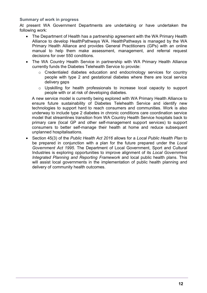## Summary of work in progress

At present WA Government Departments are undertaking or have undertaken the following work:

- The Department of Health has a partnership agreement with the WA Primary Health Alliance to develop HealthPathways WA. HealthPathways is managed by the WA Primary Health Alliance and provides General Practitioners (GPs) with an online manual to help them make assessment, management, and referral request decisions for over 550 conditions.
- The WA Country Health Service in partnership with WA Primary Health Alliance currently funds the Diabetes Telehealth Service to provide:
	- o Credentialed diabetes education and endocrinology services for country people with type 2 and gestational diabetes where there are local service delivery gaps
	- o Upskilling for health professionals to increase local capacity to support people with or at risk of developing diabetes.

A new service model is currently being explored with WA Primary Health Alliance to ensure future sustainability of Diabetes Telehealth Service and identify new technologies to support hard to reach consumers and communities. Work is also underway to include type 2 diabetes in chronic conditions care coordination service model that streamlines transition from WA Country Health Service hospitals back to primary care (local GP and other self-management support services) to support consumers to better self-manage their health at home and reduce subsequent unplanned hospitalisations.

• Section 45(3) of the Public Health Act 2016 allows for a Local Public Health Plan to be prepared in conjunction with a plan for the future prepared under the Local Government Act 1995. The Department of Local Government, Sport and Cultural Industries is exploring opportunities to improve alignment of its Local Government Integrated Planning and Reporting Framework and local public health plans. This will assist local governments in the implementation of public health planning and delivery of community health outcomes.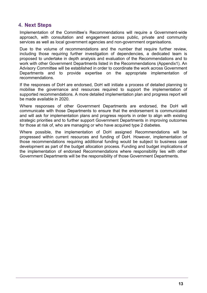## 4. Next Steps

Implementation of the Committee's Recommendations will require a Government-wide approach, with consultation and engagement across public, private and community services as well as local government agencies and non-government organisations.

Due to the volume of recommendations and the number that require further review, including those requiring further investigation of dependencies, a dedicated team is proposed to undertake in depth analysis and evaluation of the Recommendations and to work with other Government Departments listed in the Recommendations (Appendix1). An Advisory Committee will be established in order to coordinate the work across Government Departments and to provide expertise on the appropriate implementation of recommendations.

If the responses of DoH are endorsed, DoH will initiate a process of detailed planning to mobilise the governance and resources required to support the implementation of supported recommendations. A more detailed implementation plan and progress report will be made available in 2020.

Where responses of other Government Departments are endorsed, the DoH will communicate with those Departments to ensure that the endorsement is communicated and will ask for implementation plans and progress reports in order to align with existing strategic priorities and to further support Government Departments in improving outcomes for those at risk of, who are managing or who have acquired type 2 diabetes.

Where possible, the implementation of DoH assigned Recommendations will be progressed within current resources and funding of DoH. However, implementation of those recommendations requiring additional funding would be subject to business case development as part of the budget allocation process. Funding and budget implications of the implementation of endorsed Recommendations where responsibility lies with other Government Departments will be the responsibility of those Government Departments.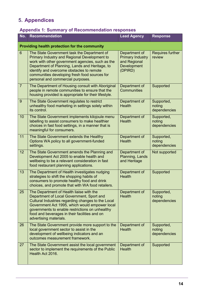# 5. Appendices

# Appendix 1: Summary of Recommendation responses

| No.            | <b>Recommendation</b>                                                                                                                                                                                                                                                                                                                | <b>Lead Agency</b>                                                                 | <b>Response</b>                      |
|----------------|--------------------------------------------------------------------------------------------------------------------------------------------------------------------------------------------------------------------------------------------------------------------------------------------------------------------------------------|------------------------------------------------------------------------------------|--------------------------------------|
|                | Providing health protection for the community                                                                                                                                                                                                                                                                                        |                                                                                    |                                      |
| $6\phantom{1}$ | The State Government task the Department of<br>Primary Industry and Regional Development to<br>work with other government agencies, such as the<br>Department of Planning, Lands and Heritage, to<br>identify and overcome obstacles to remote<br>communities developing fresh food sources for<br>personal and commercial purposes. | Department of<br><b>Primary Industry</b><br>and Regional<br>Development<br>(DPIRD) | <b>Requires further</b><br>review    |
| $\overline{7}$ | The Department of Housing consult with Aboriginal<br>people in remote communities to ensure that the<br>housing provided is appropriate for their lifestyle.                                                                                                                                                                         | Department of<br><b>Communities</b>                                                | Supported                            |
| 9              | The State Government regulates to restrict<br>unhealthy food marketing in settings solely within<br>its control.                                                                                                                                                                                                                     | Department of<br><b>Health</b>                                                     | Supported,<br>noting<br>dependencies |
| 10             | The State Government implements kilojoule menu<br>labelling to assist consumers to make healthier<br>choices in fast food settings, in a manner that is<br>meaningful for consumers.                                                                                                                                                 | Department of<br><b>Health</b>                                                     | Supported,<br>noting<br>dependencies |
| 11             | The State Government extends the Healthy<br>Options WA policy to all government-funded<br>settings.                                                                                                                                                                                                                                  | Department of<br><b>Health</b>                                                     | Supported,<br>noting<br>dependencies |
| 12             | The State Government amends the Planning and<br>Development Act 2005 to enable health and<br>wellbeing to be a relevant consideration in fast<br>food restaurant planning applications.                                                                                                                                              | Department of<br>Planning, Lands<br>and Heritage                                   | Not supported                        |
| 13             | The Department of Health investigates nudging<br>strategies to shift the shopping habits of<br>consumers to promote healthy food and drink<br>choices, and promote that with WA food retailers.                                                                                                                                      | Department of<br><b>Health</b>                                                     | Supported                            |
| 25             | The Department of Health liaise with the<br>Department of Local Government, Sport and<br>Cultural Industries regarding changes to the Local<br>Government Act 1995, which would empower local<br>governments to enable restrictions on unhealthy<br>food and beverages in their facilities and on<br>advertising materials.          | Department of<br><b>Health</b>                                                     | Supported,<br>noting<br>dependencies |
| 26             | The State Government provide more support to the<br>local government sector to assist in the<br>development of wellbeing indicators and an<br>outcomes measurement framework.                                                                                                                                                        | Department of<br><b>Health</b>                                                     | Supported,<br>noting<br>dependencies |
| 27             | The State Government assist the local government<br>sector to implement the requirements of the Public<br>Health Act 2016.                                                                                                                                                                                                           | Department of<br><b>Health</b>                                                     | Supported                            |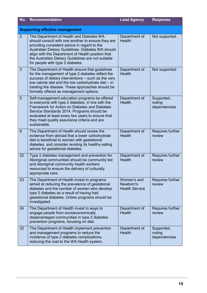| No.            | <b>Recommendation</b>                                                                                                                                                                                                                                                                                                                              | <b>Lead Agency</b>                                | <b>Response</b>                      |
|----------------|----------------------------------------------------------------------------------------------------------------------------------------------------------------------------------------------------------------------------------------------------------------------------------------------------------------------------------------------------|---------------------------------------------------|--------------------------------------|
|                | <b>Supporting effective management</b>                                                                                                                                                                                                                                                                                                             |                                                   |                                      |
| $\overline{2}$ | The Department of Health and Diabetes WA<br>should consult with one another to ensure they are<br>providing consistent advice in regard to the<br>Australian Dietary Guidelines. Diabetes WA should<br>align with the Department of Health position that<br>the Australian Dietary Guidelines are not suitable<br>for people with type 2 diabetes. | Department of<br><b>Health</b>                    | Not supported                        |
| 3              | The Department of Health ensure that guidelines<br>for the management of type 2 diabetes reflect the<br>success of dietary interventions - such as the very<br>low calorie diet and the low carbohydrate diet - in<br>treating the disease. These approaches should be<br>formally offered as management options.                                  | Department of<br><b>Health</b>                    | Not supported                        |
| 5              | Self-management education programs be offered<br>to everyone with type 2 diabetes, in line with the<br>Framework for Action on Diabetes and Diabetes<br>Service Standards 2014. Programs should be<br>evaluated at least every two years to ensure that<br>they meet quality assurance criteria and are<br>sustainable.                            | Department of<br><b>Health</b>                    | Supported,<br>noting<br>dependencies |
| 8              | The Department of Health should review the<br>evidence from abroad that a lower carbohydrate<br>diet is beneficial to women with gestational<br>diabetes, and consider revising its healthy eating<br>advice for gestational diabetes.                                                                                                             | Department of<br><b>Health</b>                    | Requires further<br>review           |
| 22             | Type 2 diabetes management and prevention for<br>Aboriginal communities should be community led<br>and Aboriginal community health workers<br>resourced to ensure the delivery of culturally<br>appropriate care.                                                                                                                                  | Department of<br><b>Health</b>                    | Requires further<br>review           |
| 23             | The Department of Health invest in programs<br>aimed at reducing the prevalence of gestational<br>diabetes and the number of women who develop<br>type 2 diabetes as a result of having had<br>gestational diabetes. Online programs should be<br>investigated.                                                                                    | Women's and<br>Newborn's<br><b>Health Service</b> | Requires further<br>review           |
| 24             | The Department of Health invest in ways to<br>engage people from socioeconomically<br>disadvantaged communities in type 2 diabetes<br>prevention programs, focusing on diet.                                                                                                                                                                       | Department of<br><b>Health</b>                    | Requires further<br>review           |
| 32             | The Department of Health implement prevention<br>and management programs to reduce the<br>incidence of type 2 diabetes complications,<br>reducing the cost to the WA Health system.                                                                                                                                                                | Department of<br><b>Health</b>                    | Supported,<br>noting<br>dependencies |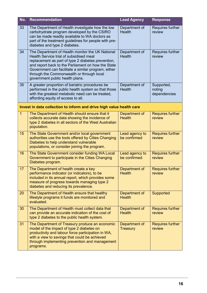| No.            | <b>Recommendation</b>                                                                                                                                                                                                                                                                                                                          | <b>Lead Agency</b>               | <b>Response</b>                      |
|----------------|------------------------------------------------------------------------------------------------------------------------------------------------------------------------------------------------------------------------------------------------------------------------------------------------------------------------------------------------|----------------------------------|--------------------------------------|
| 33             | The Department of Health investigate how the low<br>carbohydrate program developed by the CSIRO<br>can be made readily available to WA doctors as<br>part of the treatment guidelines for people with pre-<br>diabetes and type 2 diabetes.                                                                                                    | Department of<br>Health          | Requires further<br>review           |
| 34             | The Department of Health monitor the UK National<br>Health Service trial of subsidised meal<br>replacement as part of type 2 diabetes prevention,<br>and report back to the Parliament on how the State<br>Government can facilitate a similar program, either<br>through the Commonwealth or through local<br>government public health plans. | Department of<br><b>Health</b>   | Requires further<br>review           |
| 35             | A greater proportion of bariatric procedures be<br>performed in the public health system so that those<br>with the greatest metabolic need can be treated,<br>affording equity of access to all.                                                                                                                                               | Department of<br><b>Health</b>   | Supported,<br>noting<br>dependencies |
|                | Invest in data collection to inform and drive high value health care                                                                                                                                                                                                                                                                           |                                  |                                      |
| $\overline{1}$ | The Department of Health should ensure that it<br>collects accurate data showing the incidence of<br>type 2 diabetes in all sectors of the West Australian<br>population.                                                                                                                                                                      | Department of<br><b>Health</b>   | <b>Requires further</b><br>review    |
| 15             | The State Government and/or local government<br>authorities use the tools offered by Cities Changing<br>Diabetes to help understand vulnerable<br>populations, or consider joining the program.                                                                                                                                                | Lead agency to<br>be confirmed   | <b>Requires further</b><br>review    |
| 16             | The State Government consider funding WA Local<br>Government to participate in the Cities Changing<br>Diabetes program.                                                                                                                                                                                                                        | Lead agency to<br>be confirmed   | <b>Requires further</b><br>review    |
| 17             | The Department of health create a key<br>performance indicator (or indicators), to be<br>included in its annual report, which provides some<br>measure of progress towards managing type 2<br>diabetes and reducing its prevalence.                                                                                                            | Department of<br><b>Health</b>   | <b>Requires further</b><br>review    |
| 20             | The Department of Health ensure that healthy<br>lifestyle programs it funds are monitored and<br>evaluated.                                                                                                                                                                                                                                    | Department of<br><b>Health</b>   | Supported                            |
| 30             | The Department of Health must collect data that<br>can provide an accurate indication of the cost of<br>type 2 diabetes to the public health system.                                                                                                                                                                                           | Department of<br><b>Health</b>   | <b>Requires further</b><br>review    |
| 31             | The Department of Treasury produce an economic<br>model of the impact of type 2 diabetes on<br>productivity and labour force participation in WA,<br>with a view to savings that could be achieved<br>through implementing prevention and management<br>programs.                                                                              | Department of<br><b>Treasury</b> | <b>Requires further</b><br>review    |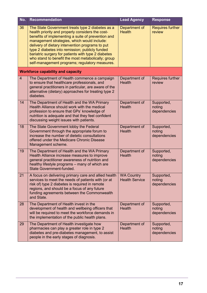| No.            | <b>Recommendation</b>                                                                                                                                                                                                                                                                                                                                                                                                                                                           | <b>Lead Agency</b>                         | <b>Response</b>                      |
|----------------|---------------------------------------------------------------------------------------------------------------------------------------------------------------------------------------------------------------------------------------------------------------------------------------------------------------------------------------------------------------------------------------------------------------------------------------------------------------------------------|--------------------------------------------|--------------------------------------|
| 36             | The State Government treats type 2 diabetes as a<br>health priority and properly considers the cost-<br>benefits of implementing a suite of prevention and<br>management strategies, which would include:<br>delivery of dietary intervention programs to put<br>type 2 diabetes into remission; publicly funded<br>bariatric surgery for patients with type 2 diabetes<br>who stand to benefit the most metabolically; group<br>self-management programs; regulatory measures. | Department of<br><b>Health</b>             | <b>Requires further</b><br>review    |
|                | <b>Workforce capability and capacity</b>                                                                                                                                                                                                                                                                                                                                                                                                                                        |                                            |                                      |
| $\overline{4}$ | The Department of Health commence a campaign<br>to ensure that healthcare professionals, and<br>general practitioners in particular, are aware of the<br>alternative (dietary) approaches for treating type 2<br>diabetes.                                                                                                                                                                                                                                                      | Department of<br><b>Health</b>             | <b>Requires further</b><br>review    |
| 14             | The Department of Health and the WA Primary<br>Health Alliance should work with the medical<br>profession to ensure that GPs' knowledge of<br>nutrition is adequate and that they feel confident<br>discussing weight issues with patients.                                                                                                                                                                                                                                     | Department of<br><b>Health</b>             | Supported,<br>noting<br>dependencies |
| 18             | The State Government lobby the Federal<br>Government through the appropriate forum to<br>increase the number of dietetic consultations<br>offered under the Medicare Chronic Disease<br>Management scheme.                                                                                                                                                                                                                                                                      | Department of<br><b>Health</b>             | Supported,<br>noting<br>dependencies |
| 19             | The Department of Health and the WA Primary<br>Health Alliance increase measures to improve<br>general practitioner awareness of nutrition and<br>healthy lifestyle programs - many of which are<br><b>State Government-funded.</b>                                                                                                                                                                                                                                             | Department of<br><b>Health</b>             | Supported,<br>noting<br>dependencies |
| 21             | A focus on delivering primary care and allied health<br>services to meet the needs of patients with (or at<br>risk of) type 2 diabetes is required in remote<br>regions, and should be a focus of any future<br>funding agreements between the Commonwealth<br>and State.                                                                                                                                                                                                       | <b>WA Country</b><br><b>Health Service</b> | Supported,<br>noting<br>dependencies |
| 28             | The Department of Health invest in the<br>development of health and wellbeing officers that<br>will be required to meet the workforce demands in<br>the implementation of the public health plans.                                                                                                                                                                                                                                                                              | Department of<br><b>Health</b>             | Supported,<br>noting<br>dependencies |
| 29             | The Department of Health investigate how<br>pharmacies can play a greater role in type 2<br>diabetes and pre-diabetes management, to assist<br>people in the early stages of diagnosis.                                                                                                                                                                                                                                                                                         | Department of<br><b>Health</b>             | Supported,<br>noting<br>dependencies |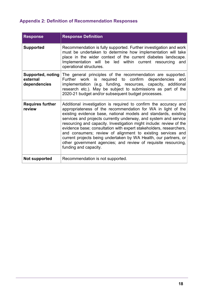# Appendix 2: Definition of Recommendation Responses

| <b>Response</b>                                      | <b>Response Definition</b>                                                                                                                                                                                                                                                                                                                                                                                                                                                                                                                                                                                                                         |
|------------------------------------------------------|----------------------------------------------------------------------------------------------------------------------------------------------------------------------------------------------------------------------------------------------------------------------------------------------------------------------------------------------------------------------------------------------------------------------------------------------------------------------------------------------------------------------------------------------------------------------------------------------------------------------------------------------------|
| <b>Supported</b>                                     | Recommendation is fully supported. Further investigation and work<br>must be undertaken to determine how implementation will take<br>place in the wider context of the current diabetes landscape.<br>Implementation will be led<br>within current resourcing<br>and<br>operational structures.                                                                                                                                                                                                                                                                                                                                                    |
| <b>Supported, noting</b><br>external<br>dependencies | The general principles of the recommendation are supported.<br>work<br>is required to confirm<br>dependencies<br>Further<br>and<br>implementation (e.g. funding, resources, capacity, additional<br>research etc.). May be subject to submissions as part of the<br>2020-21 budget and/or subsequent budget processes.                                                                                                                                                                                                                                                                                                                             |
| <b>Requires further</b><br>review                    | Additional investigation is required to confirm the accuracy and<br>appropriateness of the recommendation for WA in light of the<br>existing evidence base, national models and standards, existing<br>services and projects currently underway, and system and service<br>resourcing and capacity. Investigation might include: review of the<br>evidence base; consultation with expert stakeholders, researchers,<br>and consumers; review of alignment to existing services and<br>current projects being undertaken by WA Health, our partners, or<br>other government agencies; and review of requisite resourcing,<br>funding and capacity. |
| Not supported                                        | Recommendation is not supported.                                                                                                                                                                                                                                                                                                                                                                                                                                                                                                                                                                                                                   |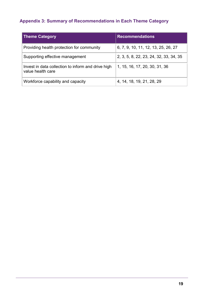# Appendix 3: Summary of Recommendations in Each Theme Category

| Theme Category                                                          | <b>Recommendations</b>                 |
|-------------------------------------------------------------------------|----------------------------------------|
| Providing health protection for community                               | 6, 7, 9, 10, 11, 12, 13, 25, 26, 27    |
| Supporting effective management                                         | 2, 3, 5, 8, 22, 23, 24, 32, 33, 34, 35 |
| Invest in data collection to inform and drive high<br>value health care | 1, 15, 16, 17, 20, 30, 31, 36          |
| Workforce capability and capacity                                       | 4, 14, 18, 19, 21, 28, 29              |